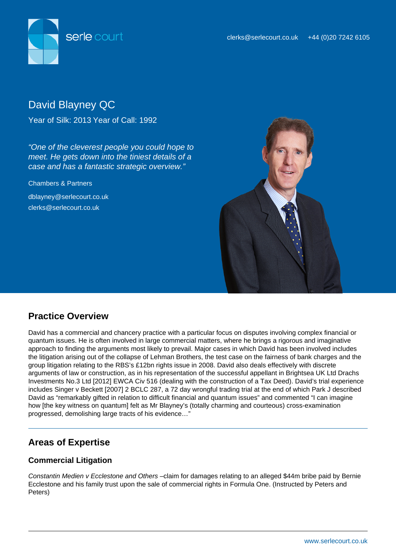

# David Blayney QC

Year of Silk: 2013 Year of Call: 1992

"One of the cleverest people you could hope to meet. He gets down into the tiniest details of a case and has a fantastic strategic overview."

Chambers & Partners

dblayney@serlecourt.co.uk clerks@serlecourt.co.uk



# **Practice Overview**

David has a commercial and chancery practice with a particular focus on disputes involving complex financial or quantum issues. He is often involved in large commercial matters, where he brings a rigorous and imaginative approach to finding the arguments most likely to prevail. Major cases in which David has been involved includes the litigation arising out of the collapse of Lehman Brothers, the test case on the fairness of bank charges and the group litigation relating to the RBS's £12bn rights issue in 2008. David also deals effectively with discrete arguments of law or construction, as in his representation of the successful appellant in Brightsea UK Ltd Drachs Investments No.3 Ltd [2012] EWCA Civ 516 (dealing with the construction of a Tax Deed). David's trial experience includes Singer v Beckett [2007] 2 BCLC 287, a 72 day wrongful trading trial at the end of which Park J described David as "remarkably gifted in relation to difficult financial and quantum issues" and commented "I can imagine how [the key witness on quantum] felt as Mr Blayney's (totally charming and courteous) cross-examination progressed, demolishing large tracts of his evidence…"

# **Areas of Expertise**

## **Commercial Litigation**

Constantin Medien v Ecclestone and Others –claim for damages relating to an alleged \$44m bribe paid by Bernie Ecclestone and his family trust upon the sale of commercial rights in Formula One. (Instructed by Peters and Peters)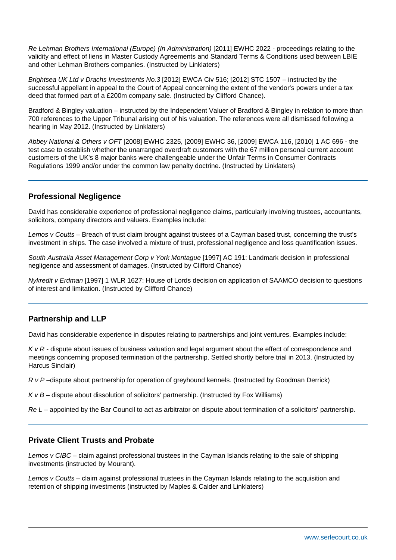Re Lehman Brothers International (Europe) (In Administration) [2011] EWHC 2022 - proceedings relating to the validity and effect of liens in Master Custody Agreements and Standard Terms & Conditions used between LBIE and other Lehman Brothers companies. (Instructed by Linklaters)

Brightsea UK Ltd v Drachs Investments No.3 [2012] EWCA Civ 516; [2012] STC 1507 – instructed by the successful appellant in appeal to the Court of Appeal concerning the extent of the vendor's powers under a tax deed that formed part of a £200m company sale. (Instructed by Clifford Chance).

Bradford & Bingley valuation – instructed by the Independent Valuer of Bradford & Bingley in relation to more than 700 references to the Upper Tribunal arising out of his valuation. The references were all dismissed following a hearing in May 2012. (Instructed by Linklaters)

Abbey National & Others v OFT [2008] EWHC 2325, [2009] EWHC 36, [2009] EWCA 116, [2010] 1 AC 696 - the test case to establish whether the unarranged overdraft customers with the 67 million personal current account customers of the UK's 8 major banks were challengeable under the Unfair Terms in Consumer Contracts Regulations 1999 and/or under the common law penalty doctrine. (Instructed by Linklaters)

### **Professional Negligence**

David has considerable experience of professional negligence claims, particularly involving trustees, accountants, solicitors, company directors and valuers. Examples include:

Lemos v Coutts – Breach of trust claim brought against trustees of a Cayman based trust, concerning the trust's investment in ships. The case involved a mixture of trust, professional negligence and loss quantification issues.

South Australia Asset Management Corp v York Montague [1997] AC 191: Landmark decision in professional negligence and assessment of damages. (Instructed by Clifford Chance)

Nykredit v Erdman [1997] 1 WLR 1627: House of Lords decision on application of SAAMCO decision to questions of interest and limitation. (Instructed by Clifford Chance)

### **Partnership and LLP**

David has considerable experience in disputes relating to partnerships and joint ventures. Examples include:

 $K$   $\vee$  R - dispute about issues of business valuation and legal argument about the effect of correspondence and meetings concerning proposed termination of the partnership. Settled shortly before trial in 2013. (Instructed by Harcus Sinclair)

R v P –dispute about partnership for operation of greyhound kennels. (Instructed by Goodman Derrick)

 $KvB$  – dispute about dissolution of solicitors' partnership. (Instructed by Fox Williams)

 $Re L$  – appointed by the Bar Council to act as arbitrator on dispute about termination of a solicitors' partnership.

### **Private Client Trusts and Probate**

Lemos v CIBC – claim against professional trustees in the Cayman Islands relating to the sale of shipping investments (instructed by Mourant).

Lemos v Coutts – claim against professional trustees in the Cayman Islands relating to the acquisition and retention of shipping investments (instructed by Maples & Calder and Linklaters)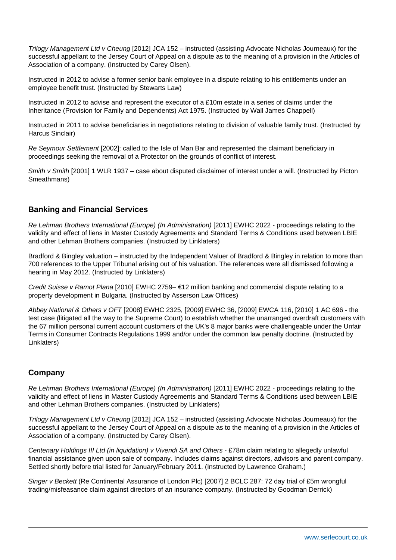Trilogy Management Ltd v Cheung [2012] JCA 152 – instructed (assisting Advocate Nicholas Journeaux) for the successful appellant to the Jersey Court of Appeal on a dispute as to the meaning of a provision in the Articles of Association of a company. (Instructed by Carey Olsen).

Instructed in 2012 to advise a former senior bank employee in a dispute relating to his entitlements under an employee benefit trust. (Instructed by Stewarts Law)

Instructed in 2012 to advise and represent the executor of a £10m estate in a series of claims under the Inheritance (Provision for Family and Dependents) Act 1975. (Instructed by Wall James Chappell)

Instructed in 2011 to advise beneficiaries in negotiations relating to division of valuable family trust. (Instructed by Harcus Sinclair)

Re Seymour Settlement [2002]: called to the Isle of Man Bar and represented the claimant beneficiary in proceedings seeking the removal of a Protector on the grounds of conflict of interest.

Smith v Smith [2001] 1 WLR 1937 – case about disputed disclaimer of interest under a will. (Instructed by Picton Smeathmans)

### **Banking and Financial Services**

Re Lehman Brothers International (Europe) (In Administration) [2011] EWHC 2022 - proceedings relating to the validity and effect of liens in Master Custody Agreements and Standard Terms & Conditions used between LBIE and other Lehman Brothers companies. (Instructed by Linklaters)

Bradford & Bingley valuation – instructed by the Independent Valuer of Bradford & Bingley in relation to more than 700 references to the Upper Tribunal arising out of his valuation. The references were all dismissed following a hearing in May 2012. (Instructed by Linklaters)

Credit Suisse v Ramot Plana [2010] EWHC 2759– €12 million banking and commercial dispute relating to a property development in Bulgaria. (Instructed by Asserson Law Offices)

Abbey National & Others v OFT [2008] EWHC 2325, [2009] EWHC 36, [2009] EWCA 116, [2010] 1 AC 696 - the test case (litigated all the way to the Supreme Court) to establish whether the unarranged overdraft customers with the 67 million personal current account customers of the UK's 8 major banks were challengeable under the Unfair Terms in Consumer Contracts Regulations 1999 and/or under the common law penalty doctrine. (Instructed by Linklaters)

#### **Company**

Re Lehman Brothers International (Europe) (In Administration) [2011] EWHC 2022 - proceedings relating to the validity and effect of liens in Master Custody Agreements and Standard Terms & Conditions used between LBIE and other Lehman Brothers companies. (Instructed by Linklaters)

Trilogy Management Ltd v Cheung [2012] JCA 152 – instructed (assisting Advocate Nicholas Journeaux) for the successful appellant to the Jersey Court of Appeal on a dispute as to the meaning of a provision in the Articles of Association of a company. (Instructed by Carey Olsen).

Centenary Holdings III Ltd (in liquidation) v Vivendi SA and Others - £78m claim relating to allegedly unlawful financial assistance given upon sale of company. Includes claims against directors, advisors and parent company. Settled shortly before trial listed for January/February 2011. (Instructed by Lawrence Graham.)

Singer v Beckett (Re Continental Assurance of London Plc) [2007] 2 BCLC 287: 72 day trial of £5m wrongful trading/misfeasance claim against directors of an insurance company. (Instructed by Goodman Derrick)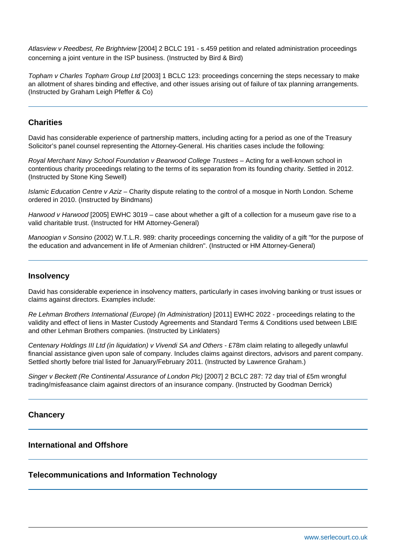Atlasview v Reedbest, Re Brightview [2004] 2 BCLC 191 - s.459 petition and related administration proceedings concerning a joint venture in the ISP business. (Instructed by Bird & Bird)

Topham v Charles Topham Group Ltd [2003] 1 BCLC 123: proceedings concerning the steps necessary to make an allotment of shares binding and effective, and other issues arising out of failure of tax planning arrangements. (Instructed by Graham Leigh Pfeffer & Co)

### **Charities**

David has considerable experience of partnership matters, including acting for a period as one of the Treasury Solicitor's panel counsel representing the Attorney-General. His charities cases include the following:

Royal Merchant Navy School Foundation v Bearwood College Trustees – Acting for a well-known school in contentious charity proceedings relating to the terms of its separation from its founding charity. Settled in 2012. (Instructed by Stone King Sewell)

Islamic Education Centre v Aziz – Charity dispute relating to the control of a mosque in North London. Scheme ordered in 2010. (Instructed by Bindmans)

Harwood v Harwood [2005] EWHC 3019 – case about whether a gift of a collection for a museum gave rise to a valid charitable trust. (Instructed for HM Attorney-General)

Manoogian v Sonsino (2002) W.T.L.R. 989: charity proceedings concerning the validity of a gift "for the purpose of the education and advancement in life of Armenian children". (Instructed or HM Attorney-General)

#### **Insolvency**

David has considerable experience in insolvency matters, particularly in cases involving banking or trust issues or claims against directors. Examples include:

Re Lehman Brothers International (Europe) (In Administration) [2011] EWHC 2022 - proceedings relating to the validity and effect of liens in Master Custody Agreements and Standard Terms & Conditions used between LBIE and other Lehman Brothers companies. (Instructed by Linklaters)

Centenary Holdings III Ltd (in liquidation) v Vivendi SA and Others - £78m claim relating to allegedly unlawful financial assistance given upon sale of company. Includes claims against directors, advisors and parent company. Settled shortly before trial listed for January/February 2011. (Instructed by Lawrence Graham.)

Singer v Beckett (Re Continental Assurance of London Plc) [2007] 2 BCLC 287: 72 day trial of £5m wrongful trading/misfeasance claim against directors of an insurance company. (Instructed by Goodman Derrick)

### **Chancery**

#### **International and Offshore**

### **Telecommunications and Information Technology**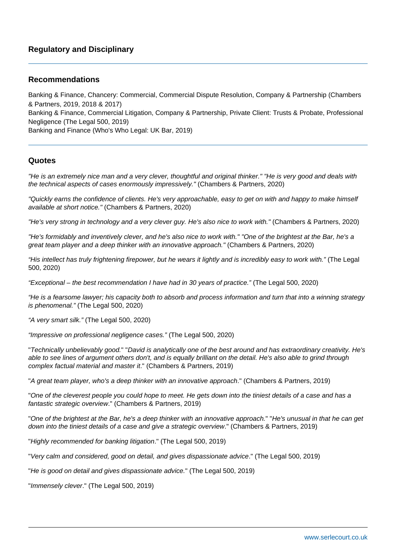### **Recommendations**

Banking & Finance, Chancery: Commercial, Commercial Dispute Resolution, Company & Partnership (Chambers & Partners, 2019, 2018 & 2017) Banking & Finance, Commercial Litigation, Company & Partnership, Private Client: Trusts & Probate, Professional Negligence (The Legal 500, 2019) Banking and Finance (Who's Who Legal: UK Bar, 2019)

#### **Quotes**

"He is an extremely nice man and a very clever, thoughtful and original thinker." "He is very good and deals with the technical aspects of cases enormously impressively." (Chambers & Partners, 2020)

"Quickly earns the confidence of clients. He's very approachable, easy to get on with and happy to make himself available at short notice." (Chambers & Partners, 2020)

"He's very strong in technology and a very clever guy. He's also nice to work with." (Chambers & Partners, 2020)

"He's formidably and inventively clever, and he's also nice to work with." "One of the brightest at the Bar, he's a great team player and a deep thinker with an innovative approach." (Chambers & Partners, 2020)

"His intellect has truly frightening firepower, but he wears it lightly and is incredibly easy to work with." (The Legal 500, 2020)

"Exceptional – the best recommendation I have had in 30 years of practice." (The Legal 500, 2020)

"He is a fearsome lawyer; his capacity both to absorb and process information and turn that into a winning strategy is phenomenal." (The Legal 500, 2020)

"A very smart silk." (The Legal 500, 2020)

"Impressive on professional negligence cases." (The Legal 500, 2020)

"Technically unbelievably good." "David is analytically one of the best around and has extraordinary creativity. He's able to see lines of argument others don't, and is equally brilliant on the detail. He's also able to grind through complex factual material and master it." (Chambers & Partners, 2019)

"A great team player, who's a deep thinker with an innovative approach." (Chambers & Partners, 2019)

"One of the cleverest people you could hope to meet. He gets down into the tiniest details of a case and has a fantastic strategic overview." (Chambers & Partners, 2019)

"One of the brightest at the Bar, he's a deep thinker with an innovative approach." "He's unusual in that he can get down into the tiniest details of a case and give a strategic overview." (Chambers & Partners, 2019)

"Highly recommended for banking litigation." (The Legal 500, 2019)

"Very calm and considered, good on detail, and gives dispassionate advice." (The Legal 500, 2019)

"He is good on detail and gives dispassionate advice." (The Legal 500, 2019)

"Immensely clever." (The Legal 500, 2019)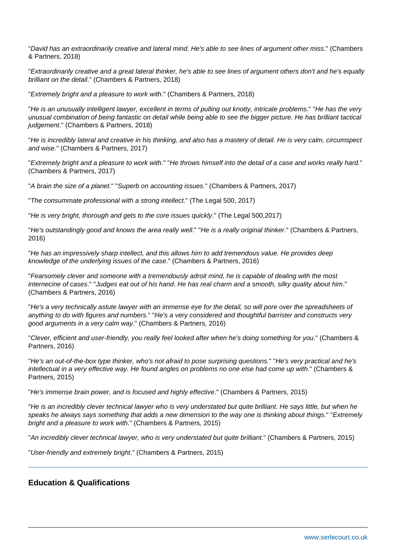"David has an extraordinarily creative and lateral mind. He's able to see lines of argument other miss." (Chambers & Partners, 2018)

"Extraordinarily creative and a great lateral thinker, he's able to see lines of argument others don't and he's equally brilliant on the detail." (Chambers & Partners, 2018)

"Extremely bright and a pleasure to work with." (Chambers & Partners, 2018)

"He is an unusually intelligent lawyer, excellent in terms of pulling out knotty, intricate problems." "He has the very unusual combination of being fantastic on detail while being able to see the bigger picture. He has brilliant tactical judgement." (Chambers & Partners, 2018)

"He is incredibly lateral and creative in his thinking, and also has a mastery of detail. He is very calm, circumspect and wise." (Chambers & Partners, 2017)

"Extremely bright and a pleasure to work with." "He throws himself into the detail of a case and works really hard." (Chambers & Partners, 2017)

"A brain the size of a planet." "Superb on accounting issues." (Chambers & Partners, 2017)

"The consummate professional with a strong intellect." (The Legal 500, 2017)

"He is very bright, thorough and gets to the core issues quickly." (The Legal 500,2017)

"He's outstandingly good and knows the area really well." "He is a really original thinker." (Chambers & Partners, 2016)

"He has an impressively sharp intellect, and this allows him to add tremendous value. He provides deep knowledge of the underlying issues of the case." (Chambers & Partners, 2016)

"Fearsomely clever and someone with a tremendously adroit mind, he is capable of dealing with the most internecine of cases." "Judges eat out of his hand. He has real charm and a smooth, silky quality about him." (Chambers & Partners, 2016)

"He's a very technically astute lawyer with an immense eye for the detail, so will pore over the spreadsheets of anything to do with figures and numbers." "He's a very considered and thoughtful barrister and constructs very good arguments in a very calm way." (Chambers & Partners, 2016)

"Clever, efficient and user-friendly, you really feel looked after when he's doing something for you." (Chambers & Partners, 2016)

"He's an out-of-the-box type thinker, who's not afraid to pose surprising questions." "He's very practical and he's intellectual in a very effective way. He found angles on problems no one else had come up with." (Chambers & Partners, 2015)

"He's immense brain power, and is focused and highly effective." (Chambers & Partners, 2015)

"He is an incredibly clever technical lawyer who is very understated but quite brilliant. He says little, but when he speaks he always says something that adds a new dimension to the way one is thinking about things." "Extremely bright and a pleasure to work with." (Chambers & Partners, 2015)

"An incredibly clever technical lawyer, who is very understated but quite brilliant." (Chambers & Partners, 2015)

"User-friendly and extremely bright." (Chambers & Partners, 2015)

## **Education & Qualifications**